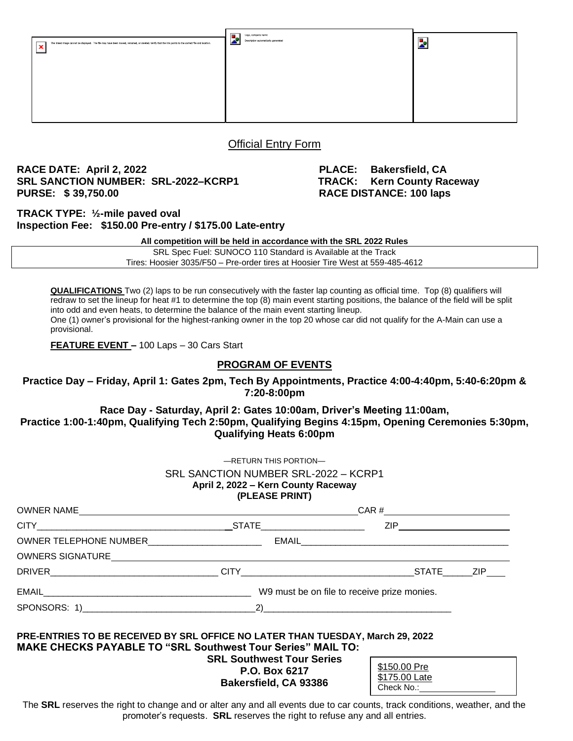| The linked image cannot be displayed. The file may have been moved, renamed, or deleted. Verify that the link points to the correct file and location.<br>× | Logo, company name<br>п.<br><b>A</b><br>Description automatically generated | ÷<br>2 |
|-------------------------------------------------------------------------------------------------------------------------------------------------------------|-----------------------------------------------------------------------------|--------|
|                                                                                                                                                             |                                                                             |        |
|                                                                                                                                                             |                                                                             |        |

### Official Entry Form

#### **RACE DATE: April 2, 2022 PLACE: Bakersfield, CA SRL SANCTION NUMBER: SRL-2022–KCRP1 TRACK: Kern County Raceway PURSE: \$ 39,750.00 RACE DISTANCE: 100 laps**

\$175.00 Late Check No.:

**TRACK TYPE: ½-mile paved oval Inspection Fee: \$150.00 Pre-entry / \$175.00 Late-entry**

**All competition will be held in accordance with the SRL 2022 Rules**

SRL Spec Fuel: SUNOCO 110 Standard is Available at the Track Tires: Hoosier 3035/F50 – Pre-order tires at Hoosier Tire West at 559-485-4612

**QUALIFICATIONS** Two (2) laps to be run consecutively with the faster lap counting as official time. Top (8) qualifiers will redraw to set the lineup for heat #1 to determine the top (8) main event starting positions, the balance of the field will be split into odd and even heats, to determine the balance of the main event starting lineup. One (1) owner's provisional for the highest-ranking owner in the top 20 whose car did not qualify for the A-Main can use a provisional.

**FEATURE EVENT –** 100 Laps – 30 Cars Start

#### **PROGRAM OF EVENTS**

**Practice Day – Friday, April 1: Gates 2pm, Tech By Appointments, Practice 4:00-4:40pm, 5:40-6:20pm & 7:20-8:00pm**

**Race Day - Saturday, April 2: Gates 10:00am, Driver's Meeting 11:00am, Practice 1:00-1:40pm, Qualifying Tech 2:50pm, Qualifying Begins 4:15pm, Opening Ceremonies 5:30pm, Qualifying Heats 6:00pm** 

| (PLEASE PRINT) |  |
|----------------|--|
|                |  |
|                |  |
|                |  |
|                |  |
|                |  |

**Bakersfield, CA 93386**

The SRL reserves the right to change and or alter any and all events due to car counts, track conditions, weather, and the promoter's requests. **SRL** reserves the right to refuse any and all entries.